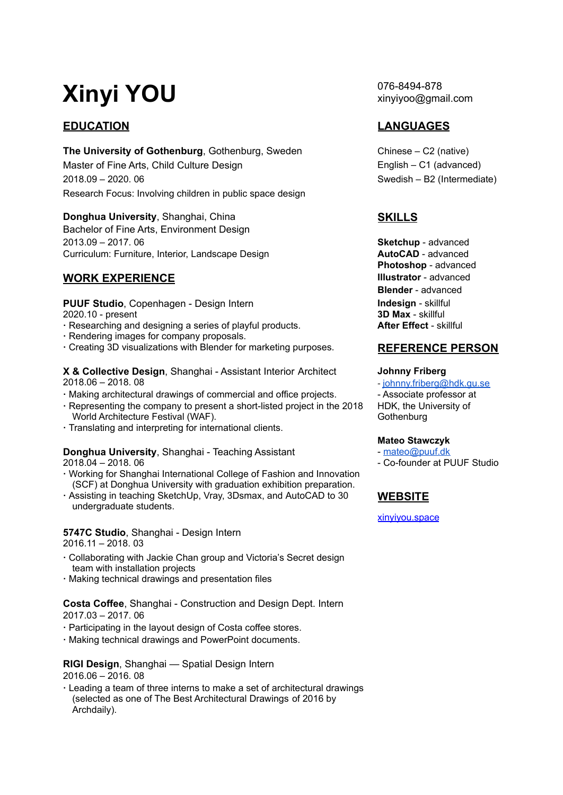# **Xinyi YOU**

**The University of Gothenburg, Gothenburg, Sweden Chinese – C2 (native)** Master of Fine Arts, Child Culture Design **English – C1** (advanced) 2018.09 – 2020. 06 Swedish – B2 (Intermediate) Research Focus: Involving children in public space design

**Donghua University**, Shanghai, China **SKILLS** Bachelor of Fine Arts, Environment Design 2013.09 – 2017. 06 **Sketchup** - advanced Curriculum: Furniture, Interior, Landscape Design **AutoCAD** - advanced

# **WORK EXPERIENCE Illustrator** - advanced

**PUUF Studio**, Copenhagen - Design Intern **Indesign - skillful** and the studies of the set of the 2020.10 - present 2020.10 - present

- **·** Researching and designing a series of playful products. **After Effect** skillful
- **·** Rendering images for company proposals.
- **·** Creating 3D visualizations with Blender for marketing purposes. **REFERENCE PERSON**

**X & Collective Design**, Shanghai - Assistant Interior Architect **Johnny Friberg**<br>2018.06 - 2018.08 - **Johnny** friberg

- · Making architectural drawings of commercial and office projects. The Associate professor at
- **·** Representing the company to present a short-listed project in the 2018 World Architecture Festival (WAF).
- **·** Translating and interpreting for international clients.

### **Donghua University**, Shanghai - Teaching Assistant - [mateo@puuf.dk](mailto:mateo@puuf.dk) 2018.04 – 2018. 06 - Co-founder at PUUF Studio

- **·** Working for Shanghai International College of Fashion and Innovation (SCF) at Donghua University with graduation exhibition preparation.
- **·** Assisting in teaching SketchUp, Vray, 3Dsmax, and AutoCAD to 30 undergraduate students.

**5747C Studio**, Shanghai - Design Intern 2016.11 – 2018. 03

- **·** Collaborating with Jackie Chan group and Victoria's Secret design team with installation projects
- **·** Making technical drawings and presentation files

**Costa Coffee**, Shanghai - Construction and Design Dept. Intern 2017.03 – 2017. 06

- **·** Participating in the layout design of Costa coffee stores.
- **·** Making technical drawings and PowerPoint documents.

**RIGI Design**, Shanghai — Spatial Design Intern

2016.06 – 2016. 08

**·** Leading a team of three interns to make a set of architectural drawings (selected as one of The Best Architectural Drawings of 2016 by Archdaily).

076-8494-878 xinyiyoo@gmail.com

# **EDUCATION LANGUAGES**

**Photoshop** - advanced **Blender** - advanced

- [johnny.friberg@hdk.gu.se](mailto:johnny.friberg@hdk.gu.se) HDK, the University of **Gothenburg** 

### **Mateo Stawczyk**

# **WEBSITE**

[xinyiyou.space](https://www.xinyiyou.space/)